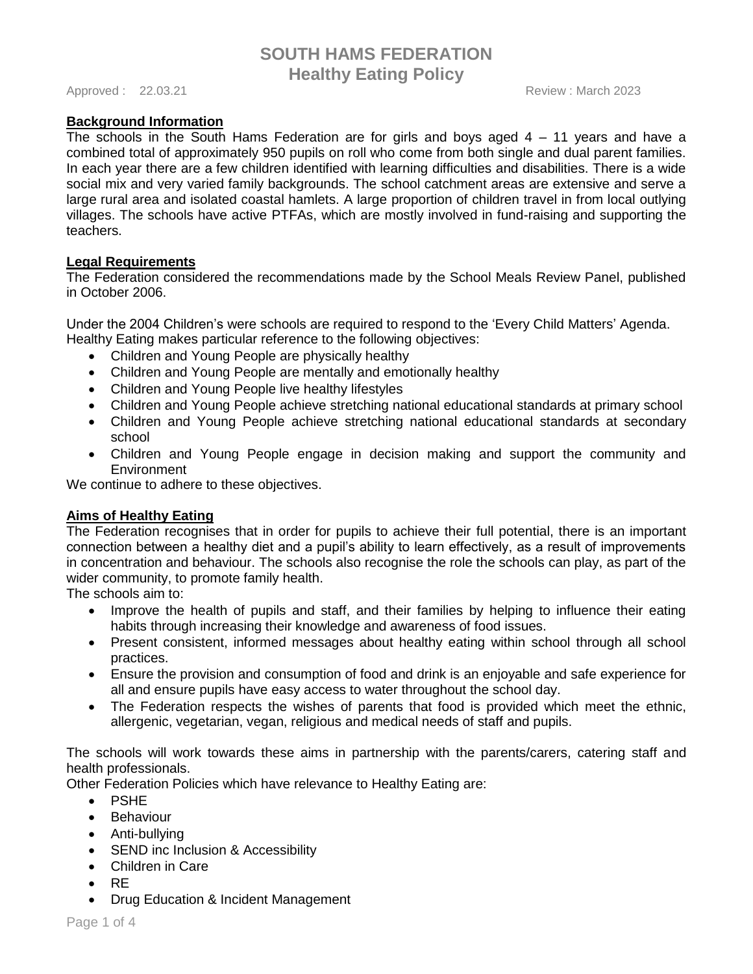Approved : 22.03.21 **Approved : 22.03.21** Review : March 2023

# **Background Information**

The schools in the South Hams Federation are for girls and boys aged 4 – 11 years and have a combined total of approximately 950 pupils on roll who come from both single and dual parent families. In each year there are a few children identified with learning difficulties and disabilities. There is a wide social mix and very varied family backgrounds. The school catchment areas are extensive and serve a large rural area and isolated coastal hamlets. A large proportion of children travel in from local outlying villages. The schools have active PTFAs, which are mostly involved in fund-raising and supporting the teachers.

### **Legal Requirements**

The Federation considered the recommendations made by the School Meals Review Panel, published in October 2006.

Under the 2004 Children's were schools are required to respond to the 'Every Child Matters' Agenda. Healthy Eating makes particular reference to the following objectives:

- Children and Young People are physically healthy
- Children and Young People are mentally and emotionally healthy
- Children and Young People live healthy lifestyles
- Children and Young People achieve stretching national educational standards at primary school
- Children and Young People achieve stretching national educational standards at secondary school
- Children and Young People engage in decision making and support the community and **Environment**

We continue to adhere to these objectives.

### **Aims of Healthy Eating**

The Federation recognises that in order for pupils to achieve their full potential, there is an important connection between a healthy diet and a pupil's ability to learn effectively, as a result of improvements in concentration and behaviour. The schools also recognise the role the schools can play, as part of the wider community, to promote family health.

The schools aim to:

- Improve the health of pupils and staff, and their families by helping to influence their eating habits through increasing their knowledge and awareness of food issues.
- Present consistent, informed messages about healthy eating within school through all school practices.
- Ensure the provision and consumption of food and drink is an enjoyable and safe experience for all and ensure pupils have easy access to water throughout the school day.
- The Federation respects the wishes of parents that food is provided which meet the ethnic, allergenic, vegetarian, vegan, religious and medical needs of staff and pupils.

The schools will work towards these aims in partnership with the parents/carers, catering staff and health professionals.

Other Federation Policies which have relevance to Healthy Eating are:

- PSHE
- Behaviour
- Anti-bullying
- SEND inc Inclusion & Accessibility
- Children in Care
- RE
- Drug Education & Incident Management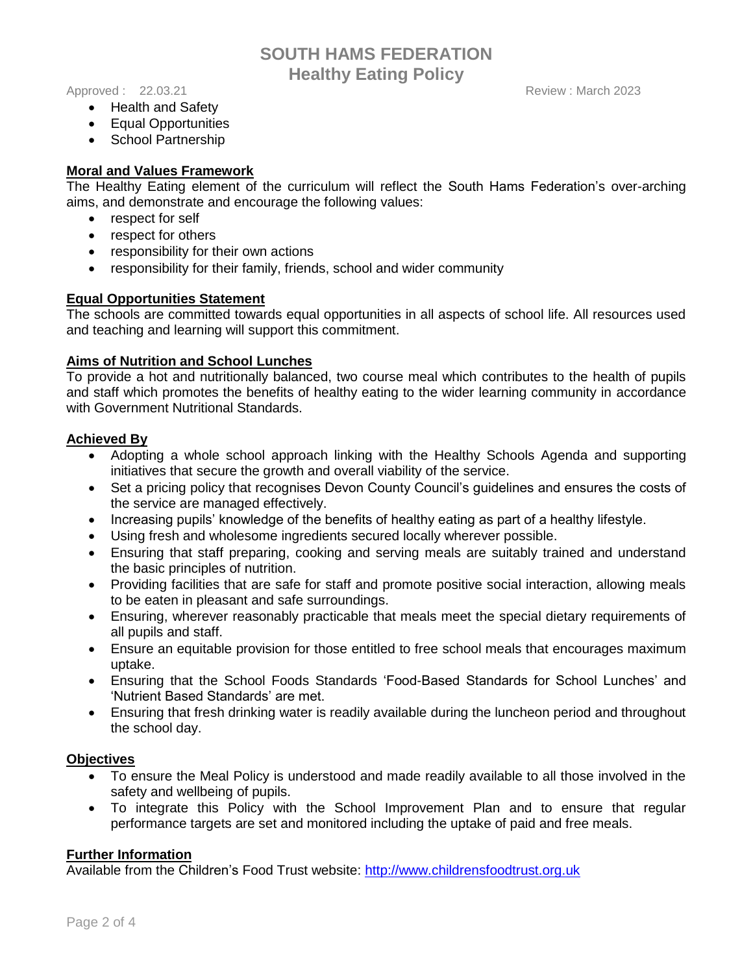#### Approved : 22.03.21 **Approved : 22.03.21** Review : March 2023

- Health and Safety
- Equal Opportunities
- School Partnership

# **Moral and Values Framework**

The Healthy Eating element of the curriculum will reflect the South Hams Federation's over-arching aims, and demonstrate and encourage the following values:

- respect for self
- respect for others
- responsibility for their own actions
- responsibility for their family, friends, school and wider community

# **Equal Opportunities Statement**

The schools are committed towards equal opportunities in all aspects of school life. All resources used and teaching and learning will support this commitment.

### **Aims of Nutrition and School Lunches**

To provide a hot and nutritionally balanced, two course meal which contributes to the health of pupils and staff which promotes the benefits of healthy eating to the wider learning community in accordance with Government Nutritional Standards.

# **Achieved By**

- Adopting a whole school approach linking with the Healthy Schools Agenda and supporting initiatives that secure the growth and overall viability of the service.
- Set a pricing policy that recognises Devon County Council's guidelines and ensures the costs of the service are managed effectively.
- Increasing pupils' knowledge of the benefits of healthy eating as part of a healthy lifestyle.
- Using fresh and wholesome ingredients secured locally wherever possible.
- Ensuring that staff preparing, cooking and serving meals are suitably trained and understand the basic principles of nutrition.
- Providing facilities that are safe for staff and promote positive social interaction, allowing meals to be eaten in pleasant and safe surroundings.
- Ensuring, wherever reasonably practicable that meals meet the special dietary requirements of all pupils and staff.
- Ensure an equitable provision for those entitled to free school meals that encourages maximum uptake.
- Ensuring that the School Foods Standards 'Food-Based Standards for School Lunches' and 'Nutrient Based Standards' are met.
- Ensuring that fresh drinking water is readily available during the luncheon period and throughout the school day.

### **Objectives**

- To ensure the Meal Policy is understood and made readily available to all those involved in the safety and wellbeing of pupils.
- To integrate this Policy with the School Improvement Plan and to ensure that regular performance targets are set and monitored including the uptake of paid and free meals.

### **Further Information**

Available from the Children's Food Trust website: [http://www.childrensfoodtrust.org.uk](http://www.childrensfoodtrust.org.uk/)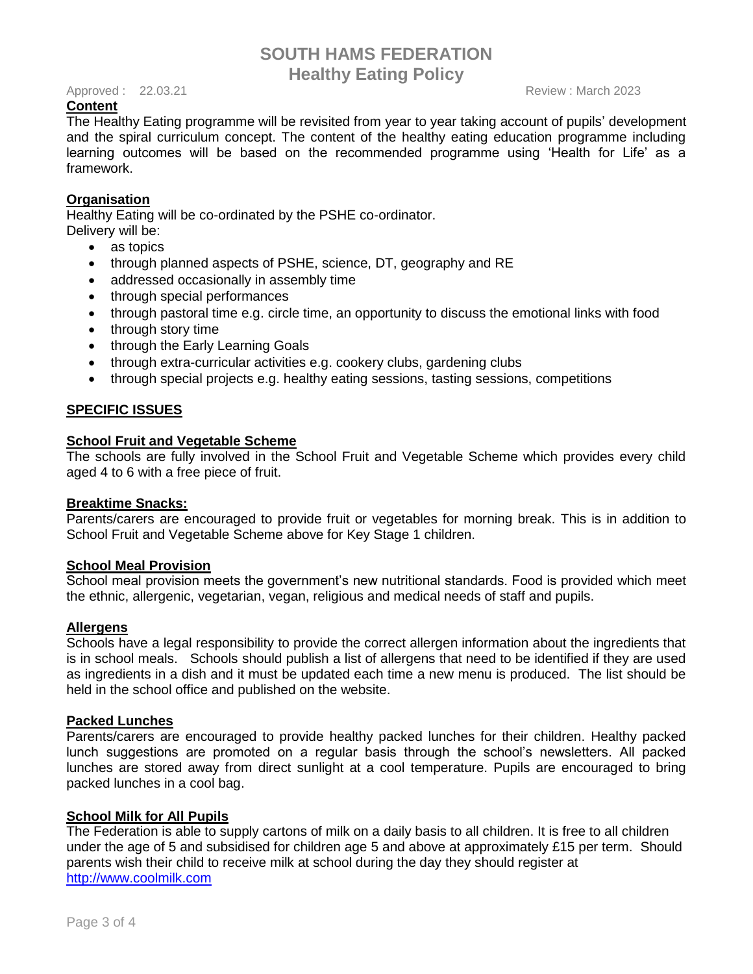#### Approved : 22.03.21 **Approved : 22.03.21** Review : March 2023

## **Content**

The Healthy Eating programme will be revisited from year to year taking account of pupils' development and the spiral curriculum concept. The content of the healthy eating education programme including learning outcomes will be based on the recommended programme using 'Health for Life' as a framework.

# **Organisation**

Healthy Eating will be co-ordinated by the PSHE co-ordinator. Delivery will be:

- as topics
- through planned aspects of PSHE, science, DT, geography and RE
- addressed occasionally in assembly time
- through special performances
- through pastoral time e.g. circle time, an opportunity to discuss the emotional links with food
- through story time
- through the Early Learning Goals
- through extra-curricular activities e.g. cookery clubs, gardening clubs
- through special projects e.g. healthy eating sessions, tasting sessions, competitions

# **SPECIFIC ISSUES**

### **School Fruit and Vegetable Scheme**

The schools are fully involved in the School Fruit and Vegetable Scheme which provides every child aged 4 to 6 with a free piece of fruit.

### **Breaktime Snacks:**

Parents/carers are encouraged to provide fruit or vegetables for morning break. This is in addition to School Fruit and Vegetable Scheme above for Key Stage 1 children.

## **School Meal Provision**

School meal provision meets the government's new nutritional standards. Food is provided which meet the ethnic, allergenic, vegetarian, vegan, religious and medical needs of staff and pupils.

### **Allergens**

Schools have a legal responsibility to provide the correct allergen information about the ingredients that is in school meals. Schools should publish a list of allergens that need to be identified if they are used as ingredients in a dish and it must be updated each time a new menu is produced. The list should be held in the school office and published on the website.

### **Packed Lunches**

Parents/carers are encouraged to provide healthy packed lunches for their children. Healthy packed lunch suggestions are promoted on a regular basis through the school's newsletters. All packed lunches are stored away from direct sunlight at a cool temperature. Pupils are encouraged to bring packed lunches in a cool bag.

# **School Milk for All Pupils**

The Federation is able to supply cartons of milk on a daily basis to all children. It is free to all children under the age of 5 and subsidised for children age 5 and above at approximately £15 per term. Should parents wish their child to receive milk at school during the day they should register at [http://www.coolmilk.com](http://www.coolmilk.com/)